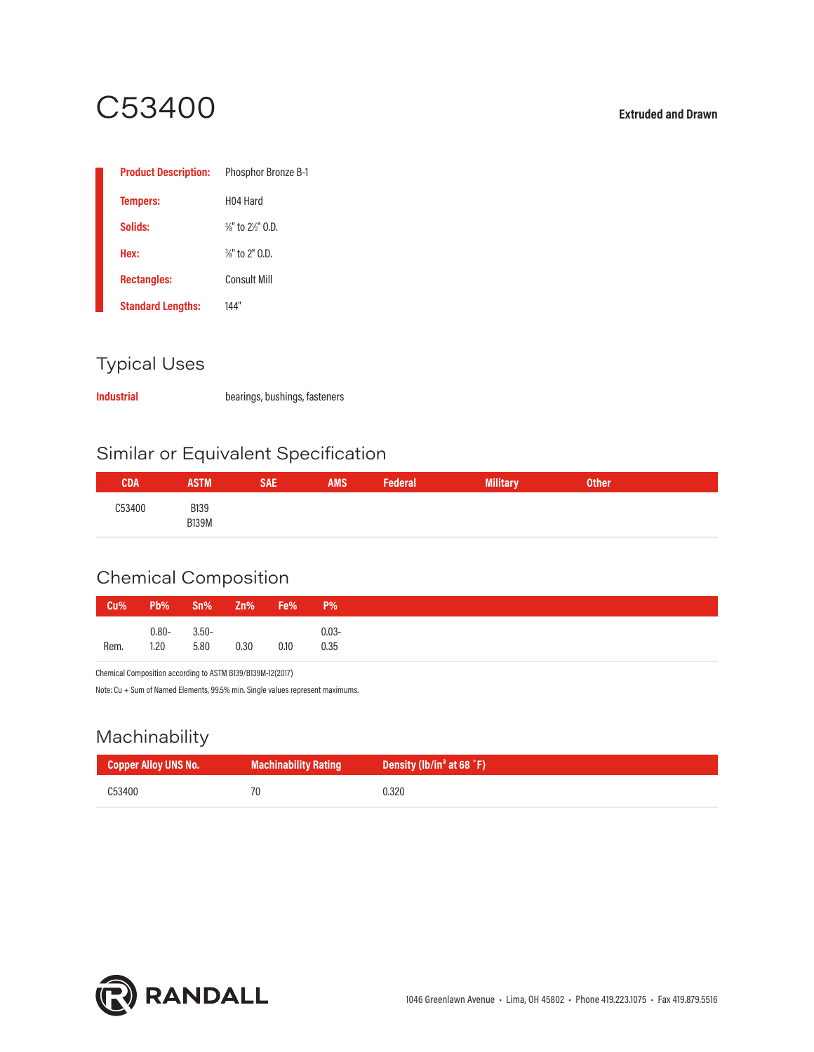# C53400 **Extruded and Drawn**

| <b>Product Description:</b> | <b>Phosphor Bronze B-1</b>              |
|-----------------------------|-----------------------------------------|
| <b>Tempers:</b>             | H <sub>04</sub> Hard                    |
| Solids:                     | $\frac{3}{8}$ " to $\frac{2}{9}$ " 0.D. |
| Hex:                        | $\frac{3}{8}$ " to 2" 0.D.              |
| <b>Rectangles:</b>          | <b>Consult Mill</b>                     |
| <b>Standard Lengths:</b>    | 144"                                    |

### Typical Uses

**Industrial** bearings, bushings, fasteners

### Similar or Equivalent Specification

| CDA           | <b>ASTM</b>                 | SAE | <b>AMS</b> | Federal | ana.<br><b>MILLICH</b> | <b>Other</b> |  |
|---------------|-----------------------------|-----|------------|---------|------------------------|--------------|--|
| <b>C53400</b> | <b>B139</b><br><b>B139M</b> |     |            |         |                        |              |  |

### Chemical Composition

| Cu%  |          | Pb% Sn% Zn% Fe% P% |      |      |          |
|------|----------|--------------------|------|------|----------|
|      | $0.80 -$ | $3.50 -$           |      |      | $0.03 -$ |
| Rem. | 1.20     | 5.80               | 0.30 | 0.10 | 0.35     |

Chemical Composition according to ASTM B139/B139M-12(2017)

Note: Cu + Sum of Named Elements, 99.5% min. Single values represent maximums.

### Machinability

| <b>Copper Alloy UNS No.</b> | <b>Machinability Rating</b> | Density (lb/in <sup>3</sup> at 68 $\degree$ F) |
|-----------------------------|-----------------------------|------------------------------------------------|
| C53400                      | 70                          | 0.320                                          |

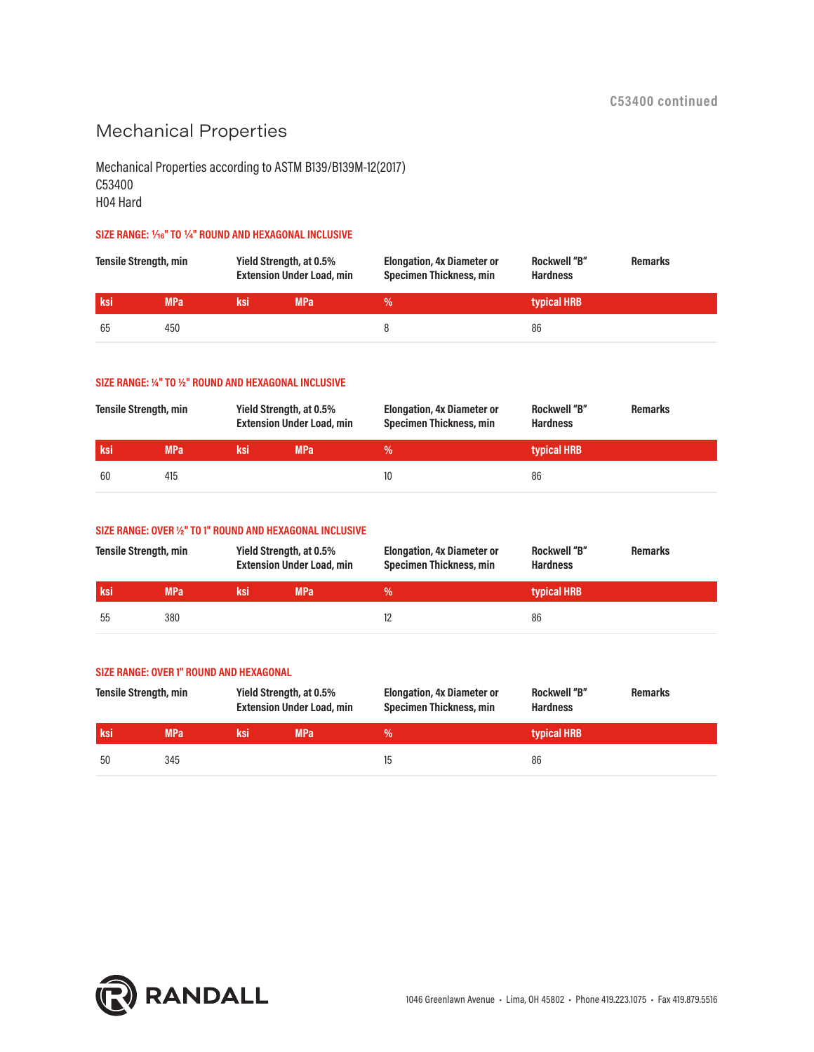### Mechanical Properties

Mechanical Properties according to ASTM B139/B139M-12(2017) C53400 H04 Hard

#### SIZE RANGE:  $\frac{1}{4}$ <sup>®</sup> TO  $\frac{1}{4}$ <sup>®</sup> ROUND AND HEXAGONAL INCLUSIVE

| <b>Tensile Strength, min</b> |            | Yield Strength, at 0.5%<br><b>Extension Under Load, min</b> |            | <b>Elongation, 4x Diameter or</b><br><b>Specimen Thickness, min</b> | <b>Rockwell "B"</b><br><b>Hardness</b> | <b>Remarks</b> |
|------------------------------|------------|-------------------------------------------------------------|------------|---------------------------------------------------------------------|----------------------------------------|----------------|
| ksi                          | <b>MPa</b> | ksi                                                         | <b>MPa</b> | ℅                                                                   | typical HRB                            |                |
| 65                           | 450        |                                                             |            |                                                                     | 86                                     |                |

#### **SIZE RANGE: ¼" TO ½" ROUND AND HEXAGONAL INCLUSIVE**

| <b>Tensile Strength, min</b> |            | Yield Strength, at 0.5%<br><b>Extension Under Load, min</b> |            | <b>Elongation, 4x Diameter or</b><br><b>Specimen Thickness, min</b> | <b>Rockwell "B"</b><br><b>Remarks</b><br><b>Hardness</b> |  |
|------------------------------|------------|-------------------------------------------------------------|------------|---------------------------------------------------------------------|----------------------------------------------------------|--|
| ksi                          | <b>MPa</b> | ksi                                                         | <b>MPa</b> | %'                                                                  | typical HRB                                              |  |
| 60                           | 415        |                                                             |            |                                                                     | 86                                                       |  |

#### **SIZE RANGE: OVER ½" TO 1" ROUND AND HEXAGONAL INCLUSIVE**

| <b>Tensile Strength, min</b> |            | Yield Strength, at 0.5%<br><b>Extension Under Load, min</b> |            | <b>Elongation, 4x Diameter or</b><br>Specimen Thickness, min | <b>Rockwell "B"</b><br><b>Remarks</b><br><b>Hardness</b> |  |
|------------------------------|------------|-------------------------------------------------------------|------------|--------------------------------------------------------------|----------------------------------------------------------|--|
| <b>ksi</b>                   | <b>MPa</b> | ksi                                                         | <b>MPa</b> | %'                                                           | typical HRB                                              |  |
| 55                           | 380        |                                                             |            |                                                              | 86                                                       |  |

### **SIZE RANGE: OVER 1" ROUND AND HEXAGONAL**

| <b>Tensile Strength, min</b> |            | Yield Strength, at 0.5%<br><b>Extension Under Load, min</b> |            | <b>Elongation, 4x Diameter or</b><br>Specimen Thickness, min | <b>Rockwell "B"</b><br><b>Hardness</b> | <b>Remarks</b> |
|------------------------------|------------|-------------------------------------------------------------|------------|--------------------------------------------------------------|----------------------------------------|----------------|
| ksi                          | <b>MPa</b> | ksi                                                         | <b>MPa</b> | %                                                            | typical HRB                            |                |
| -50                          | 345        |                                                             |            |                                                              | 86                                     |                |